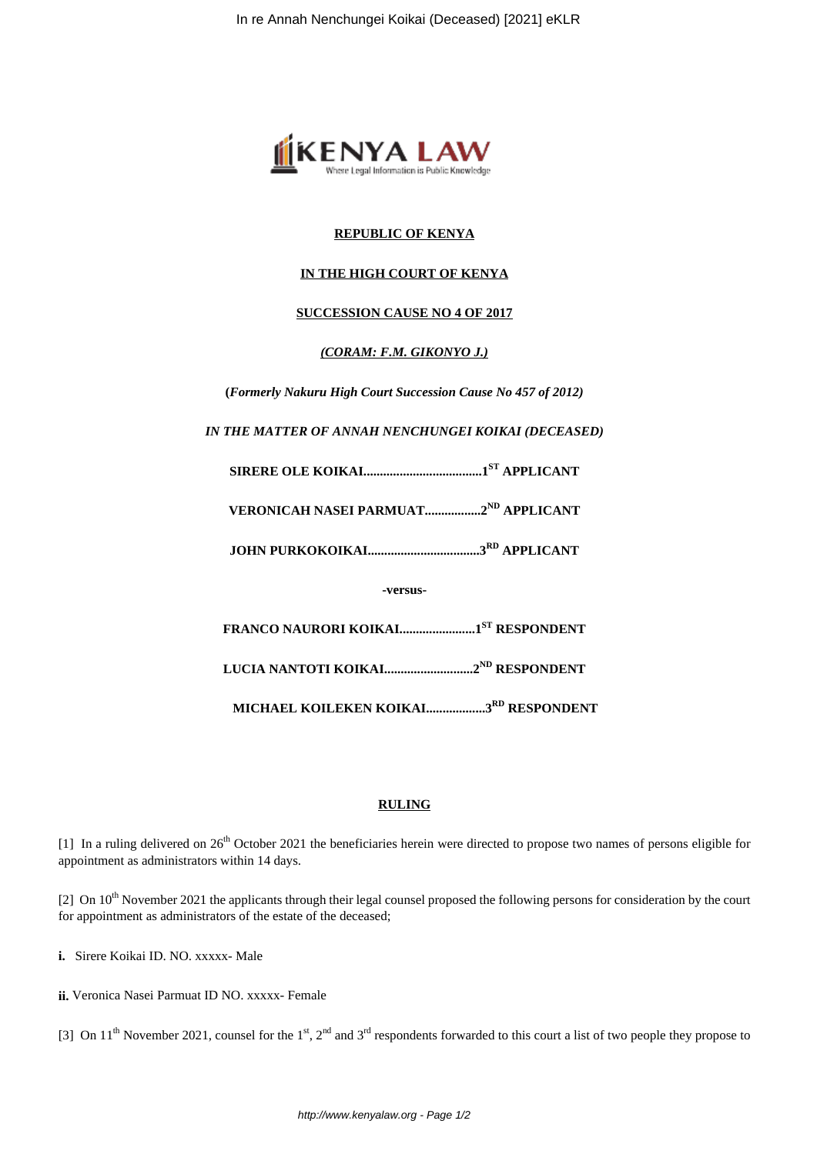

# **REPUBLIC OF KENYA**

# **IN THE HIGH COURT OF KENYA**

## **SUCCESSION CAUSE NO 4 OF 2017**

## *(CORAM: F.M. GIKONYO J.)*

**(***Formerly Nakuru High Court Succession Cause No 457 of 2012)*

*IN THE MATTER OF ANNAH NENCHUNGEI KOIKAI (DECEASED)*

**SIRERE OLE KOIKAI....................................1ST APPLICANT**

**VERONICAH NASEI PARMUAT.................2ND APPLICANT**

**JOHN PURKOKOIKAI..................................3RD APPLICANT**

**-versus-**

**FRANCO NAURORI KOIKAI.......................1ST RESPONDENT**

**LUCIA NANTOTI KOIKAI...........................2ND RESPONDENT**

**MICHAEL KOILEKEN KOIKAI..................3RD RESPONDENT**

## **RULING**

[1] In a ruling delivered on  $26<sup>th</sup>$  October 2021 the beneficiaries herein were directed to propose two names of persons eligible for appointment as administrators within 14 days.

[2] On 10<sup>th</sup> November 2021 the applicants through their legal counsel proposed the following persons for consideration by the court for appointment as administrators of the estate of the deceased;

**i.** Sirere Koikai ID. NO. xxxxx- Male

**ii.** Veronica Nasei Parmuat ID NO. xxxxx- Female

[3] On  $11<sup>th</sup>$  November 2021, counsel for the  $1<sup>st</sup>$ ,  $2<sup>nd</sup>$  and  $3<sup>rd</sup>$  respondents forwarded to this court a list of two people they propose to